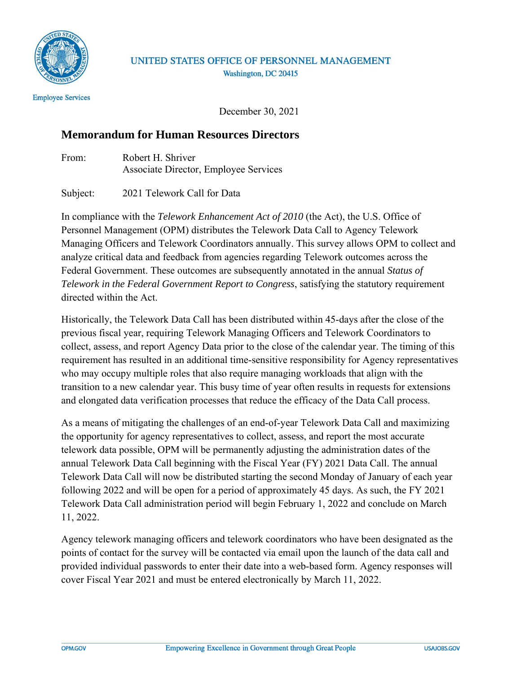

## UNITED STATES OFFICE OF PERSONNEL MANAGEMENT Washington, DC 20415

December 30, 2021

## **Memorandum for Human Resources Directors**

From: Robert H. Shriver Associate Director, Employee Services

Subject: 2021 Telework Call for Data

In compliance with the *Telework Enhancement Act of 2010* (the Act), the U.S. Office of Personnel Management (OPM) distributes the Telework Data Call to Agency Telework Managing Officers and Telework Coordinators annually. This survey allows OPM to collect and analyze critical data and feedback from agencies regarding Telework outcomes across the Federal Government. These outcomes are subsequently annotated in the annual *Status of Telework in the Federal Government Report to Congress*, satisfying the statutory requirement directed within the Act.

Historically, the Telework Data Call has been distributed within 45-days after the close of the previous fiscal year, requiring Telework Managing Officers and Telework Coordinators to collect, assess, and report Agency Data prior to the close of the calendar year. The timing of this requirement has resulted in an additional time-sensitive responsibility for Agency representatives who may occupy multiple roles that also require managing workloads that align with the transition to a new calendar year. This busy time of year often results in requests for extensions and elongated data verification processes that reduce the efficacy of the Data Call process.

As a means of mitigating the challenges of an end-of-year Telework Data Call and maximizing the opportunity for agency representatives to collect, assess, and report the most accurate telework data possible, OPM will be permanently adjusting the administration dates of the annual Telework Data Call beginning with the Fiscal Year (FY) 2021 Data Call. The annual Telework Data Call will now be distributed starting the second Monday of January of each year following 2022 and will be open for a period of approximately 45 days. As such, the FY 2021 Telework Data Call administration period will begin February 1, 2022 and conclude on March 11, 2022.

Agency telework managing officers and telework coordinators who have been designated as the points of contact for the survey will be contacted via email upon the launch of the data call and provided individual passwords to enter their date into a web-based form. Agency responses will cover Fiscal Year 2021 and must be entered electronically by March 11, 2022.